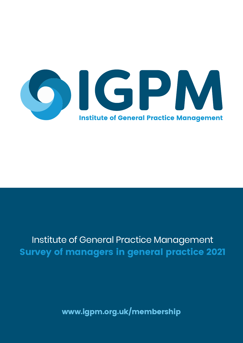

# Survey of managers in general practice 2021 Institute of General Practice Management Survey of managers in general practice 2021

www.igpm.org.uk/membership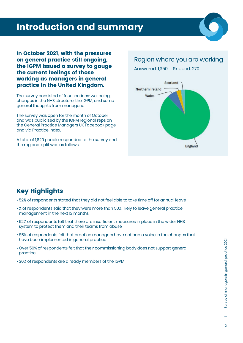# Introduction and summary

In October 2021, with the pressures on general practice still ongoing, the IGPM issued a survey to gauge the current feelings of those working as managers in general practice in the United Kingdom.

The survey consisted of four sections: wellbeing, changes in the NHS structure, the IGPM, and some general thoughts from managers.

The survey was open for the month of October and was publicised by the IGPM regional reps on the General Practice Managers UK Facebook page and via Practice Index.

A total of 1,620 people responded to the survey and the regional split was as follows:

#### Region where you are working

Answered: 1,350 Skipped: 270



#### Key Highlights

- 52% of respondents stated that they did not feel able to take time off for annual leave
- ¼ of respondents said that they were more than 50% likely to leave general practice management in the next 12 months
- 92% of respondents felt that there are insufficient measures in place in the wider NHS system to protect them and their teams from abuse
- 85% of respondents felt that practice managers have not had a voice in the changes that have been implemented in general practice
- Over 50% of respondents felt that their commissioning body does not support general practice
- 30% of respondents are already members of the IGPM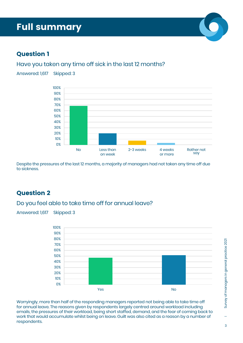Answered: 1,617 Skipped: 3



#### Question 1

#### Have you taken any time off sick in the last 12 months?



Despite the pressures of the last 12 months, a majority of managers had not taken any time off due to sickness.

#### Question 2

#### Do you feel able to take time off for annual leave?

Answered: 1,617 Skipped: 3



Worryingly, more than half of the responding managers reported not being able to take time off for annual leave. The reasons given by respondents largely centred around workload including emails, the pressures of their workload, being short staffed, demand, and the fear of coming back to work that would accumulate whilst being on leave. Guilt was also cited as a reason by a number of respondents.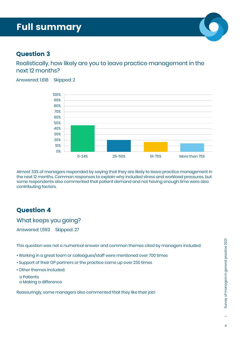Answered: 1,618 Skipped: 2

#### Question 3

Realistically, how likely are you to leave practice management in the next 12 months?



Almost 33% of managers responded by saying that they are likely to leave practice management in the next 12 months. Common responses to explain why included stress and workload pressures, but some respondents also commented that patient demand and not having enough time were also contributing factors.

#### Question 4

What keeps you going?

Answered: 1,593 Skipped: 27

This question was not a numerical answer and common themes cited by managers included:

- Working in a great team or colleagues/staff were mentioned over 700 times
- Support of their GP partners or the practice came up over 230 times
- Other themes included:

 o Patients o Making a difference

Reassuringly, some managers also commented that they like their job!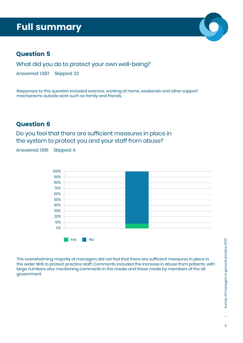

#### Question 5

What did you do to protect your own well-being?

Answered: 1,587 Skipped: 33

Responses to this question included exercise, working at home, weekends and other support mechanisms outside work such as family and friends.

#### Question 6

Do you feel that there are sufficient measures in place in the system to protect you and your staff from abuse?

Answered: 1,616 Skipped: 4



The overwhelming majority of managers did not feel that there are sufficient measures in place in the wider NHS to protect practice staff. Comments included the increase in abuse from patients, with large numbers also mentioning comments in the media and those made by members of the UK government.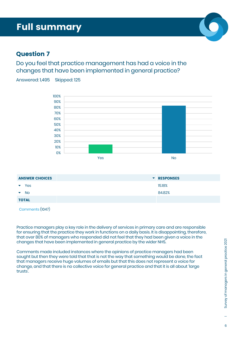#### Question 7

Do you feel that practice management has had a voice in the changes that have been implemented in general practice?

Answered: 1,495 Skipped: 125



| <b>ANSWER CHOICES</b>             | <b>T</b> RESPONSES |
|-----------------------------------|--------------------|
| Yes<br>$\blacktriangledown$       | 15.18%             |
| <b>No</b><br>$\blacktriangledown$ | 84.82%             |
| <b>TOTAL</b>                      |                    |
|                                   |                    |

Comments (1047)

Practice managers play a key role in the delivery of services in primary care and are responsible for ensuring that the practice they work in functions on a daily basis. It is disappointing, therefore, that over 80% of managers who responded did not feel that they had been given a voice in the changes that have been implemented in general practice by the wider NHS.

Comments made included instances where the opinions of practice managers had been sought but then they were told that that is not the way that something would be done, the fact that managers receive huge volumes of emails but that this does not represent a voice for change, and that there is no collective voice for general practice and that it is all about 'large trusts'.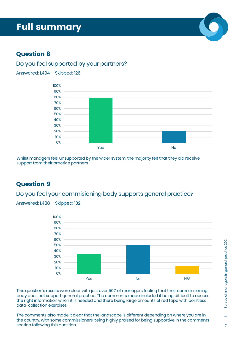### Question 8

#### Do you feel supported by your partners?

Answered: 1,494 Skipped: 126



Whilst managers feel unsupported by the wider system, the majority felt that they did receive support from their practice partners.

#### Question 9

Do you feel your commisioning body supports general practice?

Answered: 1,488 Skipped: 132



This question's results were clear with just over 50% of managers feeling that their commissioning body does not support general practice. The comments made included it being difficult to access the right information when it is needed and there being large amounts of red tape with pointless data-collection exercises.

The comments also made it clear that the landscape is different depending on where you are in the country, with some commissioners being highly praised for being supportive in the comments section following this question.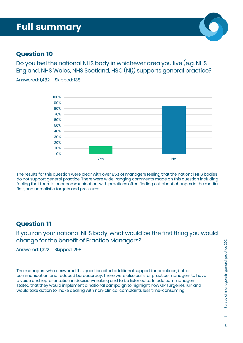#### Question 10

Do you feel the national NHS body in whichever area you live (e.g. NHS England, NHS Wales, NHS Scotland, HSC (NI)) supports general practice?

Answered: 1,482 Skipped: 138



The results for this question were clear with over 85% of managers feeling that the national NHS bodies do not support general practice. There were wide-ranging comments made on this question including feeling that there is poor communication, with practices often finding out about changes in the media first, and unrealistic targets and pressures.

#### Question 11

If you ran your national NHS body, what would be the first thing you would change for the benefit of Practice Managers?

Answered: 1,322 Skipped: 298

The managers who answered this question cited additional support for practices, better communication and reduced bureaucracy. There were also calls for practice managers to have a voice and representation in decision-making and to be listened to. In addition, managers stated that they would implement a national campaign to highlight how GP surgeries run and would take action to make dealing with non-clinical complaints less time-consuming.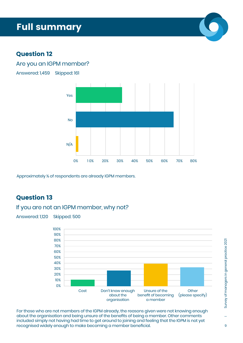#### Question 12

#### Are you an IGPM member?



Answered: 1,459 Skipped: 161

Approximately ¼ of respondents are already IGPM members.

#### Question 13

#### If you are not an IGPM member, why not?

Answered: 1,120 Skipped: 500



For those who are not members of the IGPM already, the reasons given were not knowing enough about the organisation and being unsure of the benefits of being a member. Other comments included simply not having had time to get around to joining and feeling that the IGPM is not yet recognised widely enough to make becoming a member beneficial.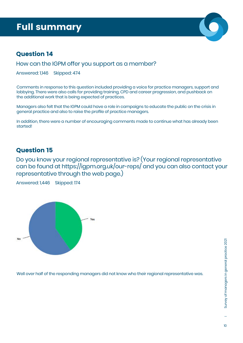

#### Question 14

How can the IGPM offer you support as a member?

Answered: 1,146 Skipped: 474

Comments in response to this question included providing a voice for practice managers, support and lobbying. There were also calls for providing training, CPD and career progression, and pushback on the additional work that is being expected of practices.

Managers also felt that the IGPM could have a role in campaigns to educate the public on the crisis in general practice and also to raise the profile of practice managers.

In addition, there were a number of encouraging comments made to continue what has already been started!

#### Question 15

Do you know your regional representative is? (Your regional representative can be found at https://igpm.org.uk/our-reps/ and you can also contact your representative through the web page.)

Answered: 1,446 Skipped: 174



Well over half of the responding managers did not know who their regional representative was.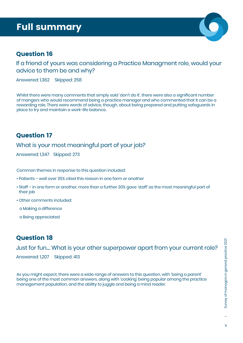

#### Question 16

If a friend of yours was considering a Practice Managment role, would your advice to them be and why?

Answered: 1,362 Skipped: 258

Whilst there were many comments that simply said 'don't do it', there were also a significant number of mangers who would recommend being a practice manager and who commented that it can be a rewarding role. There were words of advice, though, about being prepared and putting safeguards in place to try and maintain a work-life balance.

#### Question 17

What is your most meaningful part of your job?

Answered: 1,347 Skipped: 273

Common themes in response to this question included:

- Patients well over 35% cited this reason in one form or another
- Staff in one form or another, more than a further 30% gave 'staff' as the most meaningful part of their job
- Other comments included:
	- o Making a difference
	- o Being appreciated

#### Question 18

Just for fun.... What is your other superpower apart from your current role? Answered: 1,207 Skipped: 413

As you might expect, there were a wide range of answers to this question, with 'being a parent' being one of the most common answers, along with 'cooking' being popular among the practice management population, and the ability to juggle and being a mind reader.